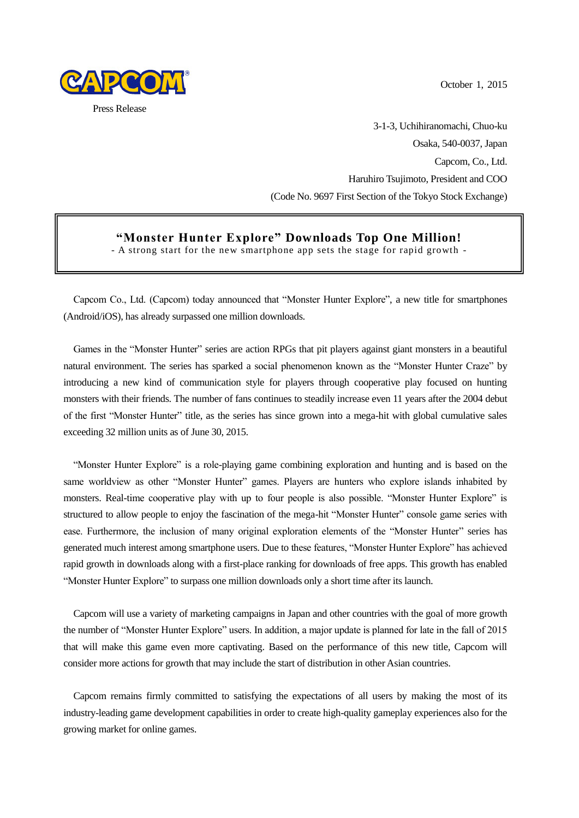October 1, 2015



3-1-3, Uchihiranomachi, Chuo-ku Osaka, 540-0037, Japan Capcom, Co., Ltd. Haruhiro Tsujimoto, President and COO (Code No. 9697 First Section of the Tokyo Stock Exchange)

## **"Monster Hunter Explore" Downloads Top One Million!**

- A strong start for the new smartphone app sets the stage for rapid growth -

Capcom Co., Ltd. (Capcom) today announced that "Monster Hunter Explore", a new title for smartphones (Android/iOS), has already surpassed one million downloads.

Games in the "Monster Hunter" series are action RPGs that pit players against giant monsters in a beautiful natural environment. The series has sparked a social phenomenon known as the "Monster Hunter Craze" by introducing a new kind of communication style for players through cooperative play focused on hunting monsters with their friends. The number of fans continues to steadily increase even 11 years after the 2004 debut of the first "Monster Hunter" title, as the series has since grown into a mega-hit with global cumulative sales exceeding 32 million units as of June 30, 2015.

"Monster Hunter Explore" is a role-playing game combining exploration and hunting and is based on the same worldview as other "Monster Hunter" games. Players are hunters who explore islands inhabited by monsters. Real-time cooperative play with up to four people is also possible. "Monster Hunter Explore" is structured to allow people to enjoy the fascination of the mega-hit "Monster Hunter" console game series with ease. Furthermore, the inclusion of many original exploration elements of the "Monster Hunter" series has generated much interest among smartphone users. Due to these features, "Monster Hunter Explore" has achieved rapid growth in downloads along with a first-place ranking for downloads of free apps. This growth has enabled "Monster Hunter Explore" to surpass one million downloads only a short time after its launch.

Capcom will use a variety of marketing campaigns in Japan and other countries with the goal of more growth the number of "Monster Hunter Explore" users. In addition, a major update is planned for late in the fall of 2015 that will make this game even more captivating. Based on the performance of this new title, Capcom will consider more actions for growth that may include the start of distribution in other Asian countries.

Capcom remains firmly committed to satisfying the expectations of all users by making the most of its industry-leading game development capabilities in order to create high-quality gameplay experiences also for the growing market for online games.